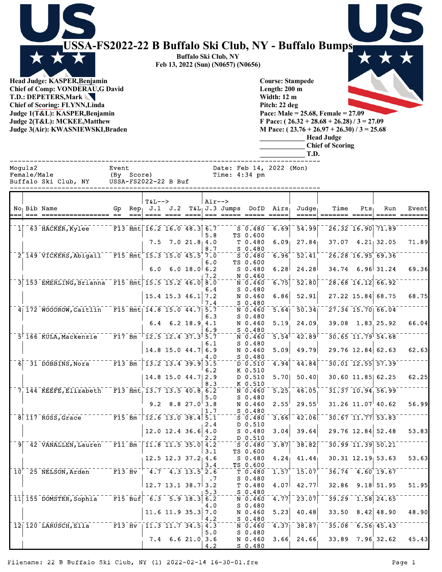| Head Judge: KASPER, Benjamin<br><b>Chief of Comp: VONDERAU,G David</b><br><b>T.D.: DEPETERS, Mark</b><br><b>Chief of Scoring: FLYNN, Linda</b><br>Judge 1(T&L): KASPER, Benjamin<br>Judge 2(T&L): MCKEE, Matthew<br>Judge 3(Air): KWASNIEWSKI, Braden |                               | Feb 13, 2022 (Sun) (N0657) (N0656)                                                                                       |            |                                                                                                     | <b>Course: Stampede</b><br>Length: 200 m<br><b>Width: 12 m</b><br>Pitch: 22 deg<br>Pace: Male = $25.68$ , Female = $27.09$<br>F Pace: $(26.32 + 28.68 + 26.28) / 3 = 27.09$<br>M Pace: $(23.76 + 26.97 + 26.30)/3 = 25.68$<br><b>Head Judge</b><br><b>Chief of Scoring</b><br>T.D. |                          |                                        |                                                                                                                                                                  |     |                                                                |                           |  |
|-------------------------------------------------------------------------------------------------------------------------------------------------------------------------------------------------------------------------------------------------------|-------------------------------|--------------------------------------------------------------------------------------------------------------------------|------------|-----------------------------------------------------------------------------------------------------|------------------------------------------------------------------------------------------------------------------------------------------------------------------------------------------------------------------------------------------------------------------------------------|--------------------------|----------------------------------------|------------------------------------------------------------------------------------------------------------------------------------------------------------------|-----|----------------------------------------------------------------|---------------------------|--|
| Moguls2<br>Female/Male<br>Buffalo Ski Club, NY                                                                                                                                                                                                        | Event<br>(By Score)           | USSA-FS2022-22 B Buf                                                                                                     |            | Time: 4:34 pm                                                                                       |                                                                                                                                                                                                                                                                                    | Date: Feb 14, 2022 (Mon) |                                        |                                                                                                                                                                  |     |                                                                |                           |  |
| No Bib Name                                                                                                                                                                                                                                           | $Rep_{\perp}$<br>Gp<br>$== =$ | $T&L-->$<br>$J.1$ $J.2$<br>esse esse esse                                                                                | $Air--$    | $T\&L_1J.3$ Jumps<br>$\begin{array}{cccc} \texttt{---} & \texttt{---} & \texttt{---} & \end{array}$ |                                                                                                                                                                                                                                                                                    | DofD Airs                | $Judq$ e<br>_____                      | Time<br>-------- ---                                                                                                                                             | Pts | Run                                                            | Event                     |  |
| 1 63 HACKER, Kylee                                                                                                                                                                                                                                    |                               | $\overline{F13}$ $\overline{Hm}$ t $\overline{L}$ $\overline{16.2}$ $\overline{16.0}$ $\overline{48.3}$ $\overline{6.7}$ |            |                                                                                                     | $S_0.480$                                                                                                                                                                                                                                                                          | 6.69                     | $^{\scriptscriptstyle -}$ 54.99 $\mid$ |                                                                                                                                                                  |     | $\left[26.32\right]$ $\left[16.90\right]$ $\left[71.89\right]$ |                           |  |
|                                                                                                                                                                                                                                                       |                               | $7.5$ $7.0$ $21.8$ $4.0$                                                                                                 | 5.8        |                                                                                                     | TS 0.600<br>T 0.480                                                                                                                                                                                                                                                                |                          | $6.09$ 27.84                           |                                                                                                                                                                  |     | $37.07$ $4.21$ 32.05                                           | 71.89                     |  |
| 2 149 VICKERS, Abigail F15 Hmt 15.3 15.0 45.5 7.0                                                                                                                                                                                                     |                               |                                                                                                                          | 8.7        |                                                                                                     | $S$ 0.480<br>$S$ 0.480                                                                                                                                                                                                                                                             |                          | $6.96 - 52.41$                         |                                                                                                                                                                  |     | $26.28$ $16.95$ 69.36                                          |                           |  |
|                                                                                                                                                                                                                                                       |                               | $6.0$ $6.0$ $18.0$ $6.2$                                                                                                 | 6.0        |                                                                                                     | TS 0.600<br>$S_0.480$                                                                                                                                                                                                                                                              |                          | $6.28$ 24.28                           |                                                                                                                                                                  |     | $34.74$ 6.96 31.24                                             | 69.36                     |  |
| 3 153 EMERLING, Brianna F15 Hmt 15.5 15.2 46.0 8.0                                                                                                                                                                                                    |                               |                                                                                                                          | 7.2<br>6.4 |                                                                                                     | N 0.460<br>N 0.460<br>$S$ 0.480                                                                                                                                                                                                                                                    | 6.75                     | $\bar{ }$ 52.80 $\vert$                |                                                                                                                                                                  |     | $28.68$ 14.12 66.92                                            |                           |  |
|                                                                                                                                                                                                                                                       |                               | $15.4$ 15.3 46.1 7.2                                                                                                     | 7.4        |                                                                                                     | N 0.460<br>$S$ 0.480                                                                                                                                                                                                                                                               | 6.86                     | 52.91                                  |                                                                                                                                                                  |     | $27.22$ 15.84 68.75                                            | 68.75                     |  |
| 4 172 WOODROW, Caitlin                                                                                                                                                                                                                                |                               | $-$ F15 Hmt $14.8$ 15.0 44.7 5.7                                                                                         | 6.3        |                                                                                                     | N 0.460<br>$S_0.480$                                                                                                                                                                                                                                                               | 5.64                     | 50.34                                  |                                                                                                                                                                  |     | $27.34$ 15.70 66.04                                            |                           |  |
|                                                                                                                                                                                                                                                       |                               | $6.4$ $6.2$ $18.9$ $4.1$                                                                                                 | 6.9        |                                                                                                     | N 0.460<br>$S_0.480$                                                                                                                                                                                                                                                               | 5.19                     | 24.09                                  |                                                                                                                                                                  |     | $39.08$ 1.83 25.92                                             | 66.04                     |  |
| 5 166 KULA, Mackenzie                                                                                                                                                                                                                                 |                               | $T = F17 - Bm$ $T = 12.5 - 12.4 - 37.3$ , $5.7$                                                                          | 6.1        |                                                                                                     | N 0.460<br>$S_0.480$                                                                                                                                                                                                                                                               |                          |                                        | $5.54$ <sup>+</sup> $42.89$ <sup>+ - -</sup> 30.65 11.79 <sup>1</sup> 54.68                                                                                      |     |                                                                |                           |  |
| $\overline{6}$ $\overline{31}$ DOBBINS, Nora $\overline{513}$ Bm $\overline{13.2}$ 13.4 39.9 $\overline{3.3}$                                                                                                                                         |                               | $14.8$ 15.0 $44.7$ 6.9                                                                                                   |            |                                                                                                     | N 0.460                                                                                                                                                                                                                                                                            |                          | $5.09$ 49.79                           | $---\frac{8}{D}\cdot \frac{0.480}{0.510}$ $-4.94$ $-44.84$ $-30.01$ $12.55$ 57.39                                                                                |     |                                                                | $29.76$ 12.84 62.63 62.63 |  |
|                                                                                                                                                                                                                                                       |                               |                                                                                                                          | 6.2        |                                                                                                     | K 0.510                                                                                                                                                                                                                                                                            |                          |                                        |                                                                                                                                                                  |     |                                                                |                           |  |
|                                                                                                                                                                                                                                                       |                               | $ 14.8$ 15.0 44.7 2.9                                                                                                    | 8.3        |                                                                                                     | $K = 0.510$                                                                                                                                                                                                                                                                        |                          |                                        | D 0.510 5.70 50.40 30.60 11.85 62.25 62.25                                                                                                                       |     |                                                                |                           |  |
| $7^{+}$ 144 KEEFE, Elizabeth F13 Hmt 13.7 13.5 40.8 6.2                                                                                                                                                                                               |                               |                                                                                                                          | 5.0        |                                                                                                     | S 0.480                                                                                                                                                                                                                                                                            |                          |                                        | $\overline{N}$ 0.460 5.25 46.05 31.37 10.94 56.99                                                                                                                |     |                                                                |                           |  |
|                                                                                                                                                                                                                                                       |                               | $9.2$ 8.8 27.0 3.8                                                                                                       | 1.7        |                                                                                                     | N 0.460<br>S 0.480                                                                                                                                                                                                                                                                 |                          |                                        | $2.55^{\dagger}$ 29.55 31.26 11.07 40.62                                                                                                                         |     |                                                                | 56.99                     |  |
| $\frac{1}{8}$ 117 ROSS, Grace $\frac{1}{12}$ R15 Bm <sup>-1</sup> 12.6 13.0 38.4 5:1                                                                                                                                                                  |                               |                                                                                                                          | 2.4        |                                                                                                     | D 0.510<br>S 0.480                                                                                                                                                                                                                                                                 |                          |                                        | $-$ 5 $-$ 6.480 $-$ 3.66 $-$ 42.06 $-$ 30.67 $-$ 11.77 53.83 $-$                                                                                                 |     |                                                                |                           |  |
| $-9$ $-42$ VANALLEN, Lauren F11 Bm $\left[11.8$ 11.5 35.0 $\frac{1}{4.2}$                                                                                                                                                                             |                               | $12.0$ 12.4 36.6 4.0                                                                                                     | 2.2        |                                                                                                     | D 0.510                                                                                                                                                                                                                                                                            |                          |                                        | $3.04$ 39.64 29.76 12.84 52.48<br>$- - \frac{1}{5} - 0.21 - 3.87 - 38.82 - 30.99 - 11.39 - 50.21$                                                                |     |                                                                | 53.83<br>$------$         |  |
|                                                                                                                                                                                                                                                       |                               | $12.5$ 12.3 37.2 4.6                                                                                                     | 3.1        |                                                                                                     | TS 0.600                                                                                                                                                                                                                                                                           |                          |                                        | $S$ 0.480 4.24 41.44 30.31 12.19 53.63                                                                                                                           |     |                                                                | 53.63                     |  |
| $10^{+}$ 25 NELSON, Arden $-$ F13 Hv $-$ 4.7 4.3 13.5 $\frac{1}{2}$ 6                                                                                                                                                                                 |                               |                                                                                                                          | 3.4        |                                                                                                     |                                                                                                                                                                                                                                                                                    |                          |                                        | $- - \frac{\texttt{TS}}{\texttt{T}}\frac{0.600}{0.480} - \frac{1}{1.57}$ 15.07 $- 36.74$ 4.60 19.67 -                                                            |     |                                                                | $- - - - - -$             |  |
|                                                                                                                                                                                                                                                       |                               | $12.7$ 13.1 38.7 3.2                                                                                                     | $\cdot$ 7  |                                                                                                     | $S$ 0.480                                                                                                                                                                                                                                                                          |                          |                                        | $T$ 0.480 4.07 42.77 32.86 9.18 51.95                                                                                                                            |     |                                                                | 51.95                     |  |
| $11 155$ DOMSTER, Sophia $-$ F15 Buf $-6.3$ 5.9 18.3 6.2                                                                                                                                                                                              |                               |                                                                                                                          | 5.3        |                                                                                                     |                                                                                                                                                                                                                                                                                    |                          |                                        |                                                                                                                                                                  |     |                                                                |                           |  |
|                                                                                                                                                                                                                                                       |                               | $11.6$ 11.9 35.3 7.0                                                                                                     | 4.0        |                                                                                                     |                                                                                                                                                                                                                                                                                    |                          |                                        | N 0.460 5.23 40.48 33.50 8.42 48.90 48.90                                                                                                                        |     |                                                                |                           |  |
| $12$   120 LARUSCH, Ella $-$ F13 Hv   11.3 11.7 34.5 4.3                                                                                                                                                                                              |                               |                                                                                                                          | 4.2        |                                                                                                     |                                                                                                                                                                                                                                                                                    |                          |                                        | $\overline{N}$ $\overline{0.460}$ $\overline{4.37}$ $\overline{38.87}$ $\overline{7}$ $\overline{35.08}$ $\overline{6.56}$ $\overline{45.43}$ $\overline{45.43}$ |     |                                                                |                           |  |
|                                                                                                                                                                                                                                                       |                               | $7.4 \t6.6 \t21.0 \t3.6$                                                                                                 | 5.0        |                                                                                                     | S 0.480                                                                                                                                                                                                                                                                            |                          |                                        | N 0.460 3.66, 24.66, 33.89 7.96, 32.62 45.43                                                                                                                     |     |                                                                |                           |  |
|                                                                                                                                                                                                                                                       |                               |                                                                                                                          | 4.2        |                                                                                                     | S 0.480                                                                                                                                                                                                                                                                            |                          |                                        |                                                                                                                                                                  |     |                                                                |                           |  |

**The Company of the Company** 

**The Contract of Contract State**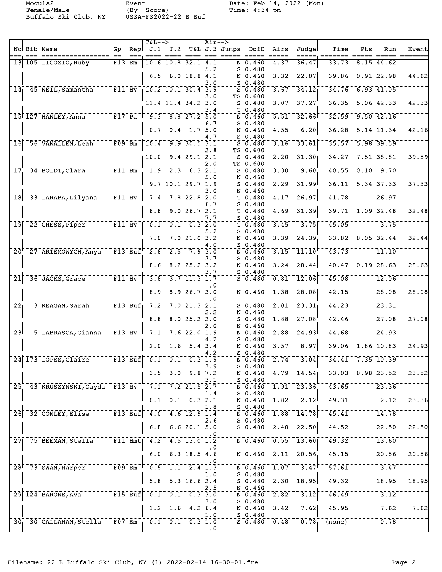|                            |                                                     |                                                                       |     | $T&L-->$                                                                                 |                                                                     |                                                     | $Air--$                 |                 |                                                   |                     |                                         |                                                                                           |      |                           |       |
|----------------------------|-----------------------------------------------------|-----------------------------------------------------------------------|-----|------------------------------------------------------------------------------------------|---------------------------------------------------------------------|-----------------------------------------------------|-------------------------|-----------------|---------------------------------------------------|---------------------|-----------------------------------------|-------------------------------------------------------------------------------------------|------|---------------------------|-------|
|                            | No Bib Name                                         | Gp                                                                    | Rep | J.1                                                                                      | J.2                                                                 |                                                     | $==$                    | $T&L$ J.3 Jumps | DofD                                              | Airs                | Judge                                   | Time                                                                                      | Pts  | Run                       | Event |
|                            | 13 105 LIGOZIO, Ruby                                | $F13$ Bm                                                              |     |                                                                                          | $10.6$ 10.8 32.1                                                    |                                                     | 4.1                     |                 | $N$ 0.460                                         | 4.37                | 36.47                                   | 33.73                                                                                     | 8.15 | 44.62                     |       |
|                            |                                                     |                                                                       |     | 6.5                                                                                      |                                                                     | 6.0 $18.8$ 4.1                                      | 5.2                     |                 | $S_0.480$<br>N 0.460                              | 3.32                | 22.07                                   | 39.86                                                                                     |      | $0.91$ 22.98              | 44.62 |
| $\bar{1}\bar{4}$           | 45 NEIL, Samantha                                   | $ \overline{F11} - \overline{Hv}$                                     |     | $\frac{1}{10.2}$ 10.1 30.4 3.9                                                           |                                                                     |                                                     | 3.0                     |                 | $S$ 0.480<br>$S$ 0.480                            | 3.67                | 34.12                                   | 34.76                                                                                     |      | $-6.93$ <sub>141.05</sub> |       |
|                            |                                                     |                                                                       |     |                                                                                          | $11.4$ 11.4 34.2 3.0                                                |                                                     | 3.0                     |                 | TS 0.600<br>$S$ 0.480                             | 3.07                | 37.27                                   | 36.35                                                                                     |      | $5.06$ 42.33              | 42.33 |
|                            | 15 127 HANLEY, Anna                                 | $\bar{r}$ $\bar{r}$ $\bar{1}$ $\bar{7}$ $\bar{p}$ $\bar{a}$ $\bar{r}$ |     |                                                                                          | $-9.3 - 8.8 - 27.2$ 5.0                                             |                                                     | 3.4                     |                 | T 0.480<br>N 0.460                                | 5.51                | 32.66                                   |                                                                                           |      | $32.59 - 9.50$ 42.16      |       |
|                            |                                                     |                                                                       |     | 0.7                                                                                      |                                                                     | $0.4 \quad 1.7$                                     | 6.7<br>5.0              |                 | $S_0.480$<br>N 0.460                              | 4.55                | 6.20                                    | 36.28                                                                                     |      | $5.14$ 11.34              | 42.16 |
| $\overline{1}\overline{6}$ | 56 VANALLEN, Leah                                   | $ \bar{F}$ 09 $-$ Bm                                                  |     | $\overline{10.4}$                                                                        |                                                                     | $9.9.30.5$ 3.1                                      | 4.7                     |                 | $S$ 0.480<br>$S = 0.480$                          | 3.16                | 33.61                                   | 35.57                                                                                     |      | $5.98$ 39.59              |       |
|                            |                                                     |                                                                       |     | 10.0                                                                                     |                                                                     | 9.429.112.1                                         | 2.8                     |                 | TS 0.600<br>$S$ 0.480                             | 2.20                | 31.30                                   | 34.27                                                                                     |      | $7.51$ 38.81              | 39.59 |
| $\bar{1}\bar{7}$           | $34$ BOLDT, $C1$ ara                                | $\overline{\texttt{F11}}$ $\overline{\texttt{Bm}}$                    |     |                                                                                          | $1.9$ $2.3$ $6.3$ $2.1$                                             |                                                     | 2.0                     |                 | TS 0.600<br>$5 - 0.480$                           | 3.30                | 9.60                                    | 40.55                                                                                     |      | $0.10 - 9.70$             |       |
|                            |                                                     |                                                                       |     |                                                                                          | $9.7$ 10.1 29.7 1.9                                                 |                                                     | 5.0                     |                 | N 0.460<br>$S$ 0.480                              | 2.29                | 31.99                                   | 36.11                                                                                     |      | $5.34$ 37.33              | 37.33 |
| $\overline{18}$            | 33 LARABA, Lilyana                                  | $\overline{F11}$ $\overline{Hv}$                                      |     | $\overline{7.4}$                                                                         |                                                                     | 7.822.82.0                                          | 3.0                     |                 | N 0.460<br>T 0.480                                | 4.17                | 26.97                                   | 41.78                                                                                     |      | 26.97                     |       |
|                            |                                                     |                                                                       |     | 8.8                                                                                      |                                                                     | 9.026.72.1                                          | 6.7                     |                 | $S$ 0.480<br>T 0.480                              | 4.69                | 31.39                                   | 39.71                                                                                     |      | $1.09$ 32.48              | 32.48 |
| $\bar{1}\bar{9}$           | $\overline{22}$ CHESS, Piper                        | $-  F11$ $Hv$                                                         |     | -0.I                                                                                     |                                                                     | $\overline{0.1}$ $\overline{0.3}$ $\overline{2.0}$  | 7.7                     |                 | $S_0.480$<br>T 0.480<br>$S$ 0.480                 | 3.45                | 3.75                                    | 45.05                                                                                     |      | 3.75                      |       |
|                            |                                                     |                                                                       |     | 7.0                                                                                      |                                                                     | 7.021.03.2                                          | 5.2<br>4.0              |                 | N 0.460<br>$S$ 0.480                              | 3.39 <sub>1</sub>   | 24.39                                   | 33.82                                                                                     |      | 8.05, 32.44               | 32.44 |
|                            | $20†$ $27-$ ARTEMOWYCH, Anya                        | $^{-}$ F13 Buf $^{\dagger}$                                           |     | $\frac{-2.8}{2.8}$                                                                       |                                                                     | $\bar{2.5}$ $\bar{7.9}$ $\bar{3.0}$                 | 3.7                     |                 | N 0.460<br>$S$ 0.480                              | $\overline{3.15}$   | $\overline{11.10}^+$                    | 43.73                                                                                     |      | 11.10                     |       |
|                            |                                                     |                                                                       |     | 8.6                                                                                      |                                                                     | $8.2$ 25.2 3.2                                      | 3.7                     |                 | N 0.460<br>$S$ 0.480                              | 3.24                | 28.44                                   | 40.47                                                                                     |      | $0.19$ 28.63              | 28.63 |
| $\overline{21}$            | 36 JACKS, Grace                                     | $\overline{F11}$ $\overline{Hv}$                                      |     | $\overline{3.8}$                                                                         |                                                                     | $\overline{3.7}$ $\overline{11.3}$ $\overline{1.7}$ | . 0                     |                 | $5 - 0.480$                                       | $\overline{0.81}$   | 12.06                                   | 45.08                                                                                     |      | 12.06                     |       |
|                            |                                                     |                                                                       |     | 8.9                                                                                      |                                                                     | 8.926.73.0                                          | $\cdot$ 0               |                 | N 0.460                                           | 1.38                | 28.08                                   | 42.15                                                                                     |      | 28.08                     | 28.08 |
| $\bar{2}\bar{2}$           | $\overline{3}$ REAGAN, Sarah $\overline{5}$ F13 Buf |                                                                       |     | $\bar{7.2}$                                                                              |                                                                     | 7.021.3221                                          | 2.2                     |                 | $\bar{s}$ $\bar{0}$ , $\bar{4}80$<br>N 0.460      | $\overline{2.01}$   | 23.31                                   | $\overline{44.23}$                                                                        |      | 23.31                     |       |
|                            |                                                     |                                                                       |     | 8.8                                                                                      |                                                                     | 8.025.222.0                                         | 2.0                     |                 | $S$ 0.480<br>N 0.460                              | $1.88^{\circ}$      | 27.08                                   | 42.46                                                                                     |      | 27.08                     | 27.08 |
| $\bar{2}\bar{3}$           | 5 LABRASCA, Gianna                                  | $\overline{F13} \overline{Hv}$                                        |     | $\bar{7}.1$                                                                              |                                                                     | $7.6$ 22.0 $1.9$                                    |                         |                 | N 0.460                                           | $\overline{2.88}$   | $-24.93$                                | 44.68                                                                                     |      | 24.93                     |       |
|                            |                                                     |                                                                       |     | 2.0                                                                                      | 1.6                                                                 |                                                     | 4.2<br>5.4   3.4<br>4.2 |                 | $S$ 0.480<br>N 0.460<br>$S$ 0.480                 | 3.57                | 8.97                                    | 39.06                                                                                     |      | 1.86 10.83                | 24.93 |
|                            | $\bar{24}$ 173 LOPES, Claire                        |                                                                       |     | $\overline{F13}$ Buf $\overline{0.1}$ $\overline{0.1}$ $\overline{0.3}$ $\overline{1.9}$ |                                                                     |                                                     | 3.9                     |                 | N 0.460<br>$S$ 0.480                              | $\overline{2.74}$   | $\overline{3.04}$                       |                                                                                           |      | $34.41 - 7.35$ 10.39      |       |
|                            |                                                     |                                                                       |     | 3.5                                                                                      | 3.0                                                                 |                                                     | $9.8$   7.2<br>3.1      |                 | N 0.460<br>$S$ 0.480                              |                     | $4.79$ $14.54$                          |                                                                                           |      | $33.03$ $8.98$ 23.52      | 23.52 |
|                            | 25 43 KRUSZYNSKI, Cayda F13 Hv                      |                                                                       |     |                                                                                          | $7.1 - 7.2$ 21.5 2.7                                                |                                                     | 1.4                     |                 | N 0.460<br>$S$ 0.480                              |                     | $\overline{1.91}$ $\overline{23.36}$    | $\overline{43.65}$                                                                        |      | 23.36                     |       |
|                            |                                                     |                                                                       |     | 0.1                                                                                      |                                                                     | $0.1 \quad 0.3   2.1$                               | 1.8                     |                 | N 0.460<br>S 0.480                                | 1.82                | 2.12                                    | 49.31                                                                                     |      | 2.12                      | 23.36 |
|                            | $26$ <sup>-32</sup> CONLEY, Elise<br>F13 Buf        |                                                                       |     |                                                                                          | $-4.0 - 4.6$ 12.9 1.4                                               |                                                     |                         |                 | $N = 0.460$                                       |                     | $\overline{1.88}$ $\overline{14.78}$    | 45.41                                                                                     |      | 14.78                     |       |
|                            |                                                     |                                                                       |     | 6.8                                                                                      |                                                                     | 6.6 20.1 $5.0$                                      | 2.6                     |                 | $S_0.480$<br>$S$ 0.480                            |                     | $2.40$ 22.50                            | 44.52                                                                                     |      | 22.50                     | 22.50 |
|                            | 27 75 BEEMAN, Stella F11 Hmt                        |                                                                       |     |                                                                                          | $-4.2 - 4.5$ 13.0 1.2                                               |                                                     | $\cdot$ 0               |                 | $\bar{N}$ $\bar{0}$ $\bar{4}$ $\bar{6}$ $\bar{0}$ | $\overline{0.55}$   | $\overline{13.60}$                      | $\overline{49.32}$                                                                        |      | $\overline{13.60}$        |       |
|                            |                                                     |                                                                       |     | 6.0                                                                                      |                                                                     | $6.3$ 18.5 4.6                                      | .0                      |                 | N 0.460                                           |                     | $2.11$ , $20.56$                        | 45.15                                                                                     |      | 20.56                     | 20.56 |
|                            | $28† 73$ SWAN, Harper                               |                                                                       |     |                                                                                          | $-0.5 - 1.1 - 2.4$ $1.3$                                            |                                                     | $\cdot$ 0               |                 | $\bar{N}$ 0.460<br>$S$ 0.480                      |                     | $1.07$ <sup>+--</sup> 3.47 <sup>+</sup> | 57.61                                                                                     |      | $-3.47$                   |       |
|                            |                                                     |                                                                       |     | 5.8                                                                                      |                                                                     | $5.3$ 16.6 2.4                                      | 1.0<br>2.5              |                 | $S$ 0.480<br>N 0.460                              | 2.30                | 18.95                                   | 49.32                                                                                     |      | 18.95                     | 18.95 |
|                            | $29$ $124$ BARONE, Ava                              | $^{-}$ F15 Buf                                                        |     |                                                                                          | $\overline{0.1}$ $\overline{0.1}$ $\overline{0.3}$ $\overline{3.0}$ |                                                     | 3.0                     |                 | N 0.460<br>$S_0.480$                              | $\left[2.82\right]$ | $\overline{3.12}$                       | $\bar{46.49}$                                                                             |      | 3.12                      |       |
|                            |                                                     |                                                                       |     |                                                                                          | 1.2 1.6 $4.2$ 6.4                                                   |                                                     | 1.0                     |                 | N 0.460<br>$S_0.480$                              | 3.42                | 7.62                                    | 45.95                                                                                     |      | 7.62                      | 7.62  |
|                            | 30 30 CALLAHAN, Stella F07 Bm 0.1 0.1 0.3 1.0       |                                                                       |     |                                                                                          |                                                                     |                                                     | $\cdot$ 0               |                 |                                                   |                     |                                         | $\overline{S}$ $\overline{0.480}$ $\overline{0.48}$ $\overline{0.78}$ $\overline{0.7000}$ |      | 0.78                      |       |
|                            |                                                     |                                                                       |     |                                                                                          |                                                                     |                                                     |                         |                 |                                                   |                     |                                         |                                                                                           |      |                           |       |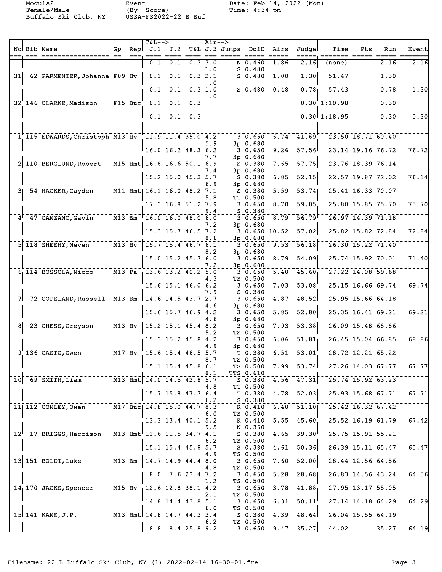|                 |                                                                                                   |                                          |             | $T&L-->$                                       |                                                                        |                        | $Air--$                          |               |                                                                                                                                                  |                                |                                                                               |                                                          |                     |                                                               |                           |
|-----------------|---------------------------------------------------------------------------------------------------|------------------------------------------|-------------|------------------------------------------------|------------------------------------------------------------------------|------------------------|----------------------------------|---------------|--------------------------------------------------------------------------------------------------------------------------------------------------|--------------------------------|-------------------------------------------------------------------------------|----------------------------------------------------------|---------------------|---------------------------------------------------------------|---------------------------|
|                 | No Bib Name                                                                                       | Gp                                       | Rep<br>$==$ |                                                | $J.1$ $J.2$                                                            |                        | $== =$                           | T&L J.3 Jumps | DofD                                                                                                                                             | Airs                           | Judge                                                                         | Time                                                     | Pts                 | Run<br>$\qquad \qquad \qquad = \qquad \qquad = \qquad \qquad$ | Event                     |
|                 |                                                                                                   |                                          |             | 0.1                                            | 0.1                                                                    | 0.3                    | 3.0                              |               | $N$ 0.460                                                                                                                                        | 1.86                           | 2.16                                                                          | (none)                                                   |                     | 2.16                                                          | 2.16                      |
| $\overline{31}$ | 62 PARMENTER, Johanna F09 Hv                                                                      |                                          |             | $\bar{0.1}$                                    | 0.1                                                                    | $0.3$ $\overline{2.1}$ | 1.0                              |               | $S_0.480$<br>$\overline{\text{s}}$ $\overline{\text{0}}$ $\overline{\text{0}}$ $\overline{\text{4}}$ $\overline{\text{8}}$ $\overline{\text{0}}$ | $\left[ 1.00 \right]$          | $\overline{1}$ , $\overline{3}$ $\overline{0}$                                | 51.47                                                    |                     | 1.30                                                          |                           |
|                 |                                                                                                   |                                          |             | 0.1                                            | 0.1                                                                    |                        | $\cdot$ 0<br>0.31.0<br>$\cdot$ 0 |               | S 0.480                                                                                                                                          | 0.48                           | 0.78                                                                          | 57.43                                                    |                     | 0.78                                                          | 1.30                      |
|                 | 32 146 CLARKE, Madison F15 Buf 0.1                                                                |                                          |             |                                                |                                                                        | $0.1 - 0.3$            |                                  |               |                                                                                                                                                  |                                |                                                                               | $0.30^{+}1.10.98$                                        |                     | 0.30                                                          |                           |
|                 |                                                                                                   |                                          |             | 0.1                                            | 0.1                                                                    | 0.3                    |                                  |               |                                                                                                                                                  |                                |                                                                               | 0.30   1:18.95                                           |                     | 0.30                                                          | 0.30                      |
|                 | 1 115 EDWARDS, Christoph M13 Hv 11.9 11.4 35.0 4.2                                                |                                          |             |                                                |                                                                        |                        |                                  |               |                                                                                                                                                  |                                |                                                                               |                                                          |                     | 23.50 18.71 60.40                                             |                           |
|                 |                                                                                                   |                                          |             |                                                |                                                                        |                        | 5.9                              |               | 30.650<br>3p 0.680                                                                                                                               |                                | $6.74$ $41.69$                                                                |                                                          |                     |                                                               |                           |
|                 |                                                                                                   |                                          |             |                                                | $16.0$ 16.2 48.3 6.2                                                   |                        | 7.7                              |               | 30.650<br>3p0.680                                                                                                                                | 9.26                           | 57.56                                                                         |                                                          |                     | 23.14 19.16 76.72                                             | 76.72                     |
|                 | 2 110 BERGLUND, Robert                                                                            |                                          |             | $\overline{M15}$ Hmt $16.8$ 16.6 50.1 6.9      |                                                                        |                        | 7.4                              |               | 50.380<br>3p 0.680                                                                                                                               | 7.65                           | 57.75                                                                         |                                                          |                     | $\overline{23.76}$ 18.39 76.14                                |                           |
|                 |                                                                                                   |                                          |             |                                                | 15.2 15.0 $45.3$ 5.7                                                   |                        | 6.9                              |               | $S$ 0.380<br>3p 0.680                                                                                                                            | 6.85                           | 52.15                                                                         |                                                          |                     | $22.57$ 19.87 72.02                                           | 76.14                     |
|                 | 3 54 HACKER, Cayden                                                                               |                                          |             | $\overline{M11}$ Hmt 16.1 16.0 48.2 7.1        |                                                                        |                        | 5.8                              |               | S 0.380<br>TT 0.500                                                                                                                              | 5.59                           | $-53.74$                                                                      |                                                          |                     | 25.41 16.33 70.07                                             |                           |
|                 |                                                                                                   |                                          |             |                                                | 17.3 16.8 51.2 7.9                                                     |                        |                                  |               | 30.650                                                                                                                                           | 8.70                           | 59.85                                                                         |                                                          |                     | 25.80 15.85 75.70                                             | 75.70                     |
|                 | $4^{\dagger}$ $47^{\dagger}$ CANZANO, Gavin                                                       |                                          |             | $\overline{M13}$ Bm $^{-1}$ 16.0 16.0 48.0 6.0 |                                                                        |                        | 9.4                              |               | $S$ 0.380<br>$3 - 0.650$                                                                                                                         | $\overline{8.79}$ <sup>1</sup> | 56.79                                                                         |                                                          |                     | $26.97 - 14.39$ 71.18                                         |                           |
|                 |                                                                                                   |                                          |             |                                                | $15.3$ 15.7 46.5 7.2                                                   |                        | 7.2                              |               | 3p 0.680<br>3 0.650 10.52                                                                                                                        |                                | 57.02                                                                         |                                                          |                     | 25.82 15.82 72.84                                             | 72.84                     |
|                 | 5 118 SHEEHY, Neven                                                                               | $\bar{M}$ 13 $\bar{H}$ v $\bar{H}$       |             |                                                | $15.7$ $15.4$ $46.7$                                                   |                        | 8.6<br>6.1                       |               | 3p 0.680<br>$3 - 0.650$                                                                                                                          | $\overline{9.53}$              | $-56.18$                                                                      |                                                          |                     | 26.30 15.22 71.40                                             |                           |
|                 |                                                                                                   |                                          |             |                                                | $15.0$ $15.2$ $45.3$ 6.0                                               |                        | 8.2                              |               | 3p 0.680<br>30.650                                                                                                                               | 8.79                           | 54.09                                                                         |                                                          |                     | 25.74 15.92 70.01                                             | 71.40                     |
|                 | $61114$ BOSSOLA, Nicco                                                                            | $\bar{\texttt{M13}}$ $\bar{\texttt{Pa}}$ |             | $-13.6$ 13.2 40.2 5.0                          |                                                                        |                        | 7.2                              |               | 3p 0.680<br>30.650                                                                                                                               | $\overline{5.40}$              | 45.60                                                                         |                                                          |                     | 27.22 14.08 59.68                                             |                           |
|                 |                                                                                                   |                                          |             |                                                | $15.6$ $15.1$ $46.0$ $6.2$                                             |                        | 4.3<br>7.9                       |               | TS 0.500<br>30.650<br>$S$ 0.380                                                                                                                  | 7.03                           | 53.08                                                                         |                                                          |                     | 25.15 16.66 69.74                                             | 69.74                     |
|                 | 7 72 COPELAND, Russell M13 Bm 14.6 14.5 43.7 2.7                                                  |                                          |             |                                                |                                                                        |                        |                                  |               | 30.650                                                                                                                                           | $\sqrt{4.87}$                  | $-48.52$                                                                      |                                                          |                     | 25.95 15.66 64.18                                             |                           |
|                 |                                                                                                   |                                          |             |                                                | $15.6$ 15.7 46.9                                                       |                        | 4.6<br>4.2<br>4.6                |               | 3p 0.680<br>30.650<br>3p0.680                                                                                                                    | 5.85                           | 52.80                                                                         |                                                          | $25.35$ 16.41 69.21 |                                                               | 69.21                     |
|                 | 8 <sup>7</sup> 23 CHESS, Greyson                                                                  | $\bar{M}$ 13 $\bar{H}$ v $\bar{V}$       |             |                                                | $\overline{15.2}$ $\overline{15.1}$ $\overline{45.4}$ $\overline{8.2}$ |                        |                                  |               | 30.650                                                                                                                                           |                                | $7.93$ <sup>-</sup> 53.38                                                     |                                                          |                     | $26.09$ 15.48 68.86                                           |                           |
|                 |                                                                                                   |                                          |             |                                                | $15.3$ $15.2$ $45.8$ $4.2$                                             |                        | 5.2<br>4.9                       |               | TS 0.500<br>30.650<br>3p 0.680                                                                                                                   |                                | $6.06$ $51.81$                                                                |                                                          |                     | $26.45$ 15.04 66.85                                           | 68.86                     |
|                 | $9^+$ $136^-$ CASTO, Owen<br>$-$ - - - - - $\overline{M17}$ Hv                                    |                                          |             | $-$ 15.6 15.4 46.5 5.7                         |                                                                        |                        |                                  |               | $T$ 0.380                                                                                                                                        | $\overline{6.51}$              | 53.01                                                                         |                                                          |                     | $\overline{28.72}$ 12.21 65.22                                |                           |
|                 |                                                                                                   |                                          |             | $15.1$ 15.4 45.8 6.1                           |                                                                        |                        | 8.7<br>8.1                       |               | TS 0.500<br>TS 0.500<br>TTS 0.610                                                                                                                |                                | $7.99$ $53.74$                                                                |                                                          |                     | 27.26 14.03 67.77                                             | 67.77                     |
|                 | $10^{-69}$ SMITH, Liam $10^{-69}$ MI3 Hmt 14.0 14.5 42.8 5.7                                      |                                          |             |                                                |                                                                        |                        |                                  |               |                                                                                                                                                  |                                |                                                                               | $-$ 5 $-$ 0.380 $-$ 4.56 $-$ 47.31 $-$ 25.74 15.92 63.23 |                     |                                                               |                           |
|                 |                                                                                                   |                                          |             |                                                | $15.7$ 15.8 47.3 6.4                                                   |                        | 4.8                              |               | TT 0.500                                                                                                                                         |                                |                                                                               | $T$ 0.380 4.78 52.03 25.93 15.68 67.71 67.71             |                     |                                                               |                           |
|                 | 11 112 CONLEY, Owen M17 Buf 14.8 15.0 44.7 8.3                                                    |                                          |             |                                                |                                                                        |                        | 6.2                              |               | $S = 0.380$                                                                                                                                      |                                |                                                                               | $K$ 0.410 6.40 51.10 $25.42$ 16.32 67.42                 |                     |                                                               |                           |
|                 |                                                                                                   |                                          |             |                                                | 13.3 13.4 40.1 5.2                                                     |                        | 6.0                              |               | TS 0.500                                                                                                                                         |                                | K 0.410 5.55 45.60                                                            |                                                          |                     |                                                               | $25.52$ 16.19 61.79 67.42 |
|                 | 12 <sup>+-</sup> 17 <sup>-BRIGGS, Harrison M13<sup>-Hmt-11.6 11.5 34.7<sup>+</sup>4.1</sup></sup> |                                          |             |                                                |                                                                        |                        | 9.5                              |               | N 0.360                                                                                                                                          |                                | $-5.0.380 - 4.65$ <sup>+</sup> 39.30 <sup>+-+</sup>                           |                                                          |                     | $-25.75$ $15.91$ $55.21$                                      |                           |
|                 |                                                                                                   |                                          |             |                                                | $15.1$ 15.4 45.8 5.7                                                   |                        | 6.2                              |               | TS 0.500<br>S 0.380                                                                                                                              | 4.61                           | 50.36                                                                         |                                                          |                     | $26.39$ 15.11 65.47                                           | 65.47                     |
|                 | 13 151 BOLDT, Luke $\frac{1}{100}$ M13 Bm $\frac{1}{400}$ 14.7 14.9 44.4 8.0                      |                                          |             |                                                |                                                                        |                        | 4.9                              |               | TS 0.500<br>$-\frac{1}{3}$ $\frac{1}{0}$ $\frac{1}{6}$ $\frac{1}{5}$ $\frac{1}{0}$                                                               |                                | $7.\overline{60}$ $\overline{52}.\overline{00}$ $\overline{0}$ $\overline{0}$ |                                                          |                     | $\sqrt{28.44}$ 12.56 64.56                                    |                           |
|                 |                                                                                                   |                                          |             |                                                | 8.0 7.6 23.4 7.2                                                       |                        | 4.8                              |               | TS 0.500<br>3 0.650                                                                                                                              |                                |                                                                               | 5.28 28.68 26.83 14.56 43.24 64.56                       |                     |                                                               |                           |
|                 | $14\overline{)170}$ JACKS, Spencer M15 Hv 12.6 12.8 38.1 4.2                                      |                                          |             |                                                |                                                                        |                        | 1.2                              |               | $TS_0.500$                                                                                                                                       |                                |                                                                               | $-3.0.650 - 3.78 - 41.88 - 27.95 - 13.17 - 55.05$        |                     |                                                               |                           |
|                 |                                                                                                   |                                          |             | $14.8$ 14.4 43.8 5.1                           |                                                                        |                        | 2.1<br>6.0                       |               | TS 0.500<br>3 0.650<br>TS 0.500                                                                                                                  |                                | $6.31^{1}$ 50.11                                                              |                                                          |                     | $27.14$ $14.18$ $64.29$                                       | 64.29                     |
|                 | 15 141 KANE, J.P. 77 14.7 44.3 3.4                                                                |                                          |             |                                                |                                                                        |                        |                                  |               |                                                                                                                                                  |                                |                                                                               | $-5.5567380$ $-4.391$ $-48.64$ $-26.04$ $15.55$ $64.19$  |                     |                                                               |                           |
|                 |                                                                                                   |                                          |             |                                                | $8.8$ $8.4$ $25.8$ $9.2$                                               |                        | 6.2                              |               | TS 0.500                                                                                                                                         |                                |                                                                               | $3\,0.650\,9.47\,35.27\,44.02\,35.27$                    |                     |                                                               | 64.19                     |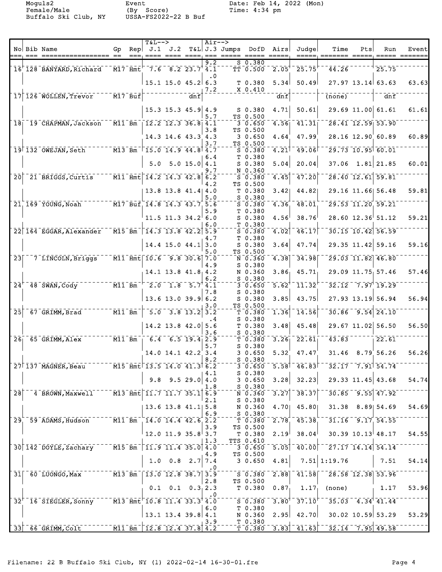|                 |                                                                      |  | $T&L-->$                                                                   |                          | Air-->           |                                                              |                                |                                                                |                                                                                                              |     |                                                          |       |
|-----------------|----------------------------------------------------------------------|--|----------------------------------------------------------------------------|--------------------------|------------------|--------------------------------------------------------------|--------------------------------|----------------------------------------------------------------|--------------------------------------------------------------------------------------------------------------|-----|----------------------------------------------------------|-------|
|                 | No Bib Name                                                          |  |                                                                            |                          |                  | Gp Rep $J.1$ J.2 T&L J.3 Jumps DofD                          | Airs                           | Judge                                                          | Time<br>=====, =======  =====,                                                                               | Pts | Run                                                      | Event |
|                 | $16+ 128$ BANYARD, Richard $M17$ Hmt                                 |  |                                                                            | $7.6$ $8.2$ $23.7$ $4.1$ | 9.2              | $S_0.380$<br>$\bar{\tau}$ T $\bar{\tau}$ $\bar{\sigma}$ .500 |                                | $2.05$ <sup>+</sup> $25.75$ <sup>+</sup>                       | $\overline{4}\overline{4}\cdot\overline{2}6$                                                                 |     | 25.75                                                    |       |
|                 |                                                                      |  |                                                                            | $15.1$ 15.0 45.2 6.3     | . 0<br>7.2       | T 0.380                                                      | 5.34                           | 50.49                                                          |                                                                                                              |     | $27.97$ 13.14 63.63                                      | 63.63 |
|                 | $17$ 126 WOLLEN, Trevor $17$ M17 Buf                                 |  |                                                                            |                          |                  |                                                              | dnf                            |                                                                | $\overline{(\text{none})}$                                                                                   |     | $\overline{dnf}$                                         |       |
|                 |                                                                      |  |                                                                            | $15.3$ 15.3 45.9 4.9     | 5.7              | S 0.380<br>TS 0.500                                          | 4.71                           | 50.61                                                          |                                                                                                              |     | $29.69$ 11.00 61.61                                      | 61.61 |
|                 | 18 19 CHAPMAN, Jackson M11 Bm   12.2 12.3 36.8   4.1                 |  |                                                                            |                          |                  | 30.650                                                       | 4.56                           | $\overline{41.31}$                                             |                                                                                                              |     | $\sqrt{28.41}$ $\sqrt{12.59}$ $\sqrt{53.90}$             |       |
|                 |                                                                      |  |                                                                            | $14.3$ 14.6 43.3 4.3     | 3.8<br>3.7       | TS 0.500<br>30.650<br>TS 0.500                               | 4.64                           | 47.99                                                          |                                                                                                              |     | 28.16 12.90 60.89                                        | 60.89 |
|                 | $19^{+132}$ OWEJAN, Seth $13^{+132}$ Bm $15.0$ 14.9 44.8 4.7         |  |                                                                            |                          |                  | $S$ 0.380                                                    | 4.21                           | 49.06                                                          |                                                                                                              |     | $\sqrt{29.73}$ $\sqrt{10.95}$ $\sqrt{60.01}$             |       |
|                 |                                                                      |  |                                                                            | $5.0$ $5.0$ $15.0$ $4.1$ | 6.4<br>9.7       | T 0.380<br>S 0.380<br>N 0.360                                | 5.04                           | 20.04                                                          |                                                                                                              |     | $37.06$ 1.81 21.85                                       | 60.01 |
|                 | 20 21 BRIGGS, Curtis M11 Hmt 14.2 14.3 42.8 6.2                      |  |                                                                            |                          |                  | S 0.380                                                      | 4.45                           | 47.20                                                          |                                                                                                              |     | $\sqrt{28.40}$ 12.61 59.81                               |       |
|                 |                                                                      |  |                                                                            | 13.8 13.8 41.4 4.0       | 4.2<br>5.0       | TS 0.500<br>T 0.380<br>S 0.380                               | 3.42                           | 44.82                                                          |                                                                                                              |     | 29.16 11.66 56.48                                        | 59.81 |
|                 | $21^{1}_{1}$ 169 YOUNG, Noah $\overline{M17}$ Buf 14.8 14.3 43.7 5.6 |  |                                                                            |                          |                  | $5 - 0.380$                                                  |                                | $4.36 - 48.01$                                                 |                                                                                                              |     | $\sqrt{29.53}$ 11.20 59.21                               |       |
|                 |                                                                      |  |                                                                            | $11.5$ 11.3 34.2 6.0     | 5.9<br>6.0       | T 0.380<br>S 0.380<br>T 0.380                                | 4.56                           | 38.76                                                          |                                                                                                              |     | $28.60$ $12.36$ $51.12$                                  | 59.21 |
|                 | 22 164 EGGAR, Alexander M15 Bm 14.3 13.8 42.2 5.9                    |  |                                                                            |                          |                  | $5 - 0.380$                                                  | 4.02                           | 46.17                                                          |                                                                                                              |     | $\overline{30.15}$ $\overline{10.42}$ $\overline{56.59}$ |       |
|                 |                                                                      |  |                                                                            | $14.4$ 15.0 44.1 3.0     | 4.7<br>5.0       | T 0.380<br>$S$ 0.380<br>TS 0.500                             | 3.64                           | 47.74                                                          |                                                                                                              |     | 29.35 11.42 59.16                                        | 59.16 |
|                 | $23$ <sup><math>-7</math></sup> LINCOLN, Briggs                      |  | $\sqrt{11}$ $\overline{H}$ mt $\sqrt{10.6}$ $\sqrt{9.8}$ 30.6 $\sqrt{7.0}$ |                          |                  | $\bar{\texttt{N}}$ 0.360                                     | $\overline{4.38}$              | $-34.98$                                                       |                                                                                                              |     | $\sqrt{29.03}$ $\sqrt{11.82}$ $\sqrt{46.80}$             |       |
|                 |                                                                      |  |                                                                            | $14.1$ 13.8 $41.8$ 4.2   | 4.9<br>6.2       | $S$ 0.380<br>N 0.360<br>S 0.380                              | 3.86                           | 45.71                                                          |                                                                                                              |     | $29.09$ 11.75 57.46                                      | 57.46 |
|                 | $24^{+}$ 48 SWAN, Cody $12\pi$ $-12.0$ $1.8$ 5.7 <sup>+</sup> $4.1$  |  |                                                                            |                          |                  | 30.650                                                       | $\overline{5.62}$ <sup>1</sup> | $\bar{1}\bar{1}.\bar{3}\bar{2}^{\dagger}$                      |                                                                                                              |     | $\sqrt{32.12}$ $\sqrt{7.97}$ $\sqrt{19.29}$              |       |
|                 |                                                                      |  |                                                                            | $13.6$ 13.0 39.9 6.2     | 7.8<br>3.0       | $S$ 0.380<br>$S$ 0.380<br>TS 0.500                           | 3.85                           | 43.75                                                          |                                                                                                              |     | 27.93 13.19 56.94                                        | 56.94 |
|                 |                                                                      |  |                                                                            |                          |                  | $\bar{\tau}$ $\bar{0}$ .380 $\bar{\tau}$                     | $\overline{1.36}$              | $\overline{1}\overline{4}\overline{.}\overline{5}\overline{6}$ |                                                                                                              |     | $30.86 - 9.54$ 24.10                                     |       |
|                 |                                                                      |  |                                                                            | $14.2$ 13.8 42.0 5.6     | $\cdot$ 4<br>3.6 | S 0.380<br>T0.380<br>S 0.380                                 | 3.48                           | 45.48                                                          |                                                                                                              |     | 29.67 11.02 56.50                                        | 56.50 |
|                 | 26 65 GRIMM, Alex M11 Bm 6.4 6.5 19.4 2.9                            |  |                                                                            |                          | 5.7              | T 0.380<br>$S$ 0.380                                         |                                | $3.26$ <sup>-22.61</sup>                                       | $\frac{1}{43.83}$                                                                                            |     | $-122.61$                                                |       |
|                 |                                                                      |  |                                                                            | $14.0$ 14.1 $42.2$ 3.4   | 8.2              | 30.650<br>S 0.380                                            | 5.32                           | 47.47                                                          |                                                                                                              |     | $31.46$ $8.79$ 56.26                                     | 56.26 |
|                 | 27 137 MAGNER, Beau M15 Hmt 13.5 14.0 41.3 6.2                       |  |                                                                            |                          | 4.1              | 30.650<br>$S$ 0.380                                          |                                |                                                                | $5.58$ <sup>1</sup> $46.83$ <sup>1 -</sup> $32.17$ $7.91$ $54.74$                                            |     |                                                          |       |
|                 |                                                                      |  |                                                                            | $9.8$ $9.5$ 29.0 4.0     | 1.8              | 30.650<br>S 0.380                                            |                                |                                                                | $3.28$ $32.23$ $29.33$ $11.45$ $43.68$                                                                       |     |                                                          | 54.74 |
| $\overline{28}$ | 4 BROWN, Maxwell M13 Hmt 11.7 11.7 35.1 6.9                          |  |                                                                            |                          | 2.1              | N0.360<br>$S$ 0.380                                          |                                |                                                                | $\overline{3.27}$ $\overline{38.37}$ $\overline{7.30.85}$ $\overline{9.55}$ $\overline{47.92}$               |     |                                                          |       |
|                 |                                                                      |  |                                                                            | $13.6$ 13.8 41.1 5.8     | 6.9              | N 0.360<br>$S$ 0.380                                         |                                | $4.70$ $45.80$                                                 |                                                                                                              |     | $31.38$ $8.89$   54.69                                   | 54.69 |
|                 | $29^{+}$ 59 ADAMS, Hudson $11$ Bm $14.0$ 14.4 42.6 $2.2$             |  |                                                                            |                          | 3.9              | $-\frac{1}{T}$ <sup>-</sup> 0.380<br>TS 0.500                |                                |                                                                | $\overline{)2.78}$ $\overline{45.38}$ $\overline{31.16}$ $\overline{9.17}$ $\overline{54.55}$                |     |                                                          |       |
|                 |                                                                      |  | $12.0$ 11.9 35.8 3.7                                                       |                          | 1.3              | T 0.380<br>TTS 0.610                                         |                                |                                                                | $2.19^{+}$ 38.04 30.39 10.13 48.17                                                                           |     |                                                          | 54.55 |
|                 | 30 142 DOYLE, Zachary M15 Bm 11.9 11.4 35.0 4.0                      |  |                                                                            |                          |                  | $3\overline{0.650}$                                          |                                |                                                                | $\overline{5.05}$ $\overline{40.00}$ $\overline{0}$ $\overline{27.17}$ $\overline{14.14}$ $\overline{54.14}$ |     |                                                          |       |
|                 |                                                                      |  |                                                                            | 1.0 $0.8$ 2.7 7.4        | 4.9<br>$\cdot$ 0 | TS 0.500<br>30.650                                           | 4.81                           |                                                                | $7.51$ 1:19.76                                                                                               |     | 7.51                                                     | 54.14 |
|                 | 31 60 LUONGO, Max M13 Bm 13.0 12.8 38.7 3.9                          |  |                                                                            |                          | 2.8              | $-50.380$<br>TS 0.500                                        |                                |                                                                | $\overline{2.88}$ $\overline{41.58}$ $\overline{28.58}$ $\overline{12.38}$ $\overline{53.96}$                |     |                                                          |       |
|                 |                                                                      |  |                                                                            | $0.1$ 0.1 0.3 2.3        | .0               | T 0.380                                                      | 0.87 <sub>1</sub>              |                                                                | $1.171$ (none)                                                                                               |     | 1.17                                                     | 53.96 |
|                 | $32^{\dagger}$ 16 SIEGLER, Sonny $13$ Hmt 10.8 11.4 33.3 4.0         |  |                                                                            |                          |                  | $-50.380$                                                    |                                |                                                                | $3.80$ <sup>+</sup> $37.10$ <sup>+ -</sup> $35.03$ $4.34$ <sup>+</sup> $41.44$ <sup>-</sup>                  |     |                                                          |       |
|                 |                                                                      |  |                                                                            | 13.1 13.4 39.8 4.1       | 6.0<br>3.9       | T 0.380<br>N 0.360<br>T <sub>0.380</sub>                     |                                |                                                                | $2.95$ 42.70 30.02 10.59 53.29 53.29                                                                         |     |                                                          |       |
|                 |                                                                      |  |                                                                            |                          |                  |                                                              |                                |                                                                | T 0.380 3.83 41.63 32.14 7.95 49.58                                                                          |     |                                                          |       |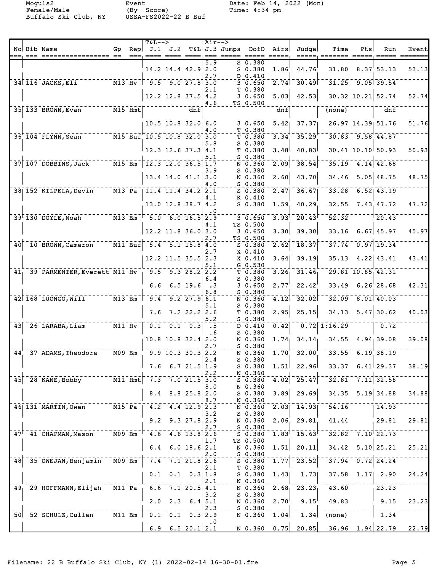|                  |                                                                                                                                     |      | $T&L-->$ |                                                                                |                                                     | $Air--$          |                         |                                                                                      |                   |                                                             |                                                                                                                                                                                                                                                         |     |                                                                                                                                                                                                                                                                                                                                                                                      |                                |
|------------------|-------------------------------------------------------------------------------------------------------------------------------------|------|----------|--------------------------------------------------------------------------------|-----------------------------------------------------|------------------|-------------------------|--------------------------------------------------------------------------------------|-------------------|-------------------------------------------------------------|---------------------------------------------------------------------------------------------------------------------------------------------------------------------------------------------------------------------------------------------------------|-----|--------------------------------------------------------------------------------------------------------------------------------------------------------------------------------------------------------------------------------------------------------------------------------------------------------------------------------------------------------------------------------------|--------------------------------|
|                  | No Bib Name                                                                                                                         | - Gp |          | $\mathsf{Rep} \mathsf{J.1} \mathsf{J.2}$                                       |                                                     |                  | T&L J.3 Jumps DofD Airs |                                                                                      |                   | Judge                                                       | Time                                                                                                                                                                                                                                                    | Pts | Run                                                                                                                                                                                                                                                                                                                                                                                  | Event                          |
|                  |                                                                                                                                     |      |          |                                                                                |                                                     | 5.9              |                         | $S_0.380$                                                                            |                   |                                                             |                                                                                                                                                                                                                                                         |     |                                                                                                                                                                                                                                                                                                                                                                                      |                                |
|                  |                                                                                                                                     |      |          | $14.2$ 14.4 $42.9$ 2.0                                                         |                                                     | 2.7              |                         | $S$ 0.380<br>D 0.410                                                                 | 1.86              | 44.76                                                       |                                                                                                                                                                                                                                                         |     | $31.80$ $8.37$ 53.13                                                                                                                                                                                                                                                                                                                                                                 | 53.13                          |
|                  | $34$ <sup>†</sup> 116 <sup>-</sup> JACKS, Eli <sup>---------</sup> M13 <sup>-</sup> Hv <sup>-</sup>                                 |      |          | $-9.5 - 9.0 27.8$ 3.0                                                          |                                                     |                  |                         | $\overline{3}\ \overline{0}\ \overline{0}\ \overline{0}$                             |                   | $\sqrt{2.74}$ <sup>-</sup> 30.49                            |                                                                                                                                                                                                                                                         |     | $31.25 - 9.05$ 39.54                                                                                                                                                                                                                                                                                                                                                                 |                                |
|                  |                                                                                                                                     |      |          |                                                                                |                                                     | 2.1              |                         | T <sub>0.380</sub>                                                                   |                   |                                                             |                                                                                                                                                                                                                                                         |     |                                                                                                                                                                                                                                                                                                                                                                                      |                                |
|                  |                                                                                                                                     |      |          | $12.2$ 12.8 37.5 4.2                                                           |                                                     | 4.6              |                         | 30.650<br>TS 0.500                                                                   | 5.03              | 42.53                                                       |                                                                                                                                                                                                                                                         |     | $30.32$ 10.21 $52.74$                                                                                                                                                                                                                                                                                                                                                                | 52.74                          |
|                  |                                                                                                                                     |      |          |                                                                                |                                                     |                  |                         |                                                                                      | dnf               |                                                             | $\overline{(\text{none})}$                                                                                                                                                                                                                              |     | $\overline{a}$ $\overline{a}$ $\overline{a}$ $\overline{a}$ $\overline{a}$ $\overline{a}$ $\overline{a}$ $\overline{a}$ $\overline{a}$ $\overline{a}$ $\overline{a}$ $\overline{a}$ $\overline{a}$ $\overline{a}$ $\overline{a}$ $\overline{a}$ $\overline{a}$ $\overline{a}$ $\overline{a}$ $\overline{a}$ $\overline{a}$ $\overline{a}$ $\overline{a}$ $\overline{a}$ $\overline{$ |                                |
|                  |                                                                                                                                     |      |          |                                                                                |                                                     |                  |                         |                                                                                      |                   |                                                             |                                                                                                                                                                                                                                                         |     |                                                                                                                                                                                                                                                                                                                                                                                      |                                |
|                  |                                                                                                                                     |      |          | 10.5 10.8 32.0  6.0                                                            |                                                     | 4.0              |                         | 30.650<br>T 0.380                                                                    |                   | $5.42$ $37.37$                                              |                                                                                                                                                                                                                                                         |     | 26.97 14.39 51.76                                                                                                                                                                                                                                                                                                                                                                    | 51.76                          |
|                  | 36 104 FLYNN, Sean M15 Buf 10.5 10.8 32.0 3.0                                                                                       |      |          |                                                                                |                                                     |                  |                         | $\bar{T}$ $\bar{0}$ $\bar{0}$ $\bar{3}80$                                            | 3.34              | 35.29                                                       |                                                                                                                                                                                                                                                         |     | $30.83 - 9.58$ 44.87                                                                                                                                                                                                                                                                                                                                                                 |                                |
|                  |                                                                                                                                     |      |          |                                                                                |                                                     | 5.8              |                         | $S$ 0.380                                                                            |                   | 40.83                                                       |                                                                                                                                                                                                                                                         |     | $30.41$ $10.10$ $50.93$                                                                                                                                                                                                                                                                                                                                                              |                                |
|                  |                                                                                                                                     |      |          | $12.3$ 12.6 37.3 4.1                                                           |                                                     | 5.1              |                         | T0.380<br>$S$ 0.380                                                                  | 3.48              |                                                             |                                                                                                                                                                                                                                                         |     |                                                                                                                                                                                                                                                                                                                                                                                      | 50.93                          |
|                  | 37 107 DOBBINS, Jack M15 Bm 12.3 12.0 36.5 1.7                                                                                      |      |          |                                                                                |                                                     |                  |                         | N 0.360                                                                              | $\overline{2.09}$ | 38.54                                                       |                                                                                                                                                                                                                                                         |     | $35.19$ 4.14 42.68                                                                                                                                                                                                                                                                                                                                                                   |                                |
|                  |                                                                                                                                     |      |          |                                                                                |                                                     | 3.9              |                         | S 0.380                                                                              |                   |                                                             |                                                                                                                                                                                                                                                         |     |                                                                                                                                                                                                                                                                                                                                                                                      |                                |
|                  |                                                                                                                                     |      |          | $13.4$ 14.0 $41.1$ 3.0                                                         |                                                     | 4.0              |                         | N 0.360<br>$S$ 0.380                                                                 | 2.60              | 43.70                                                       | 34.46                                                                                                                                                                                                                                                   |     | $5.05$ 48.75                                                                                                                                                                                                                                                                                                                                                                         | 48.75                          |
|                  | 38 152 KILPELA, Devin M13 Pa 11.4 11.4 34.2 2.1                                                                                     |      |          |                                                                                |                                                     |                  |                         | $5 - 0.380$                                                                          |                   | $\sqrt{2.47}$ $\sqrt{36.67}$                                |                                                                                                                                                                                                                                                         |     | $33.28 - 6.52$ 43.19                                                                                                                                                                                                                                                                                                                                                                 |                                |
|                  |                                                                                                                                     |      |          |                                                                                |                                                     | 4.1              |                         | K 0.410                                                                              |                   |                                                             |                                                                                                                                                                                                                                                         |     |                                                                                                                                                                                                                                                                                                                                                                                      | 47.72                          |
|                  |                                                                                                                                     |      |          | 13.0 12.8 38.7 4.2                                                             |                                                     |                  |                         | $S$ 0.380                                                                            | 1.59              | 40.29                                                       | 32.55                                                                                                                                                                                                                                                   |     | 7.43.47.72                                                                                                                                                                                                                                                                                                                                                                           |                                |
|                  | $39^{\dagger}$ 130 DOYLE, Noah $13^{\dagger}$ M13 Bm <sup>-<math>+</math></sup> 5.0 $-6.0$ 16.5 <sup><math>\dagger</math></sup> 2.9 |      |          |                                                                                |                                                     |                  |                         | $\overline{3}\,\overline{0}\,\overline{0}\,\overline{6}\,\overline{5}\,\overline{0}$ |                   | $3.93$ <sup>1-</sup> 20.43                                  | $\overline{52.32}$                                                                                                                                                                                                                                      |     | $\overline{1}$ 20.43                                                                                                                                                                                                                                                                                                                                                                 |                                |
|                  |                                                                                                                                     |      |          | $12.2$ 11.8 36.0 3.0                                                           |                                                     | 4.1              |                         | TS 0.500<br>30.650                                                                   |                   |                                                             | 33.16                                                                                                                                                                                                                                                   |     | $6.67$ 45.97                                                                                                                                                                                                                                                                                                                                                                         | 45.97                          |
|                  |                                                                                                                                     |      |          |                                                                                |                                                     | 2.7              |                         | TS 0.500                                                                             | 3.30              | 39.30                                                       |                                                                                                                                                                                                                                                         |     |                                                                                                                                                                                                                                                                                                                                                                                      |                                |
| $\bar{4}\bar{0}$ | $-10$ BROWN, Cameron $M1$ Buf $-5.4$ $5.1$ 15.8 $4.0$                                                                               |      |          |                                                                                |                                                     |                  |                         | $\bar{\text{s}}$ $\bar{\text{o}}$ .380 $\bar{\text{o}}$                              | 2.62              | $-18.37$                                                    | 37.74                                                                                                                                                                                                                                                   |     | $\overline{0.97}$ 19.34                                                                                                                                                                                                                                                                                                                                                              |                                |
|                  |                                                                                                                                     |      |          |                                                                                |                                                     | 2.7              |                         | X 0.410                                                                              |                   | $3.64$ 39.19                                                |                                                                                                                                                                                                                                                         |     | $4.22$   $43.41$                                                                                                                                                                                                                                                                                                                                                                     | 43.41                          |
|                  |                                                                                                                                     |      |          | $12.2$ 11.5 35.5 2.3                                                           |                                                     | 5.1              |                         | $X$ 0.410<br>$G$ 0.530                                                               |                   |                                                             | 35.13                                                                                                                                                                                                                                                   |     |                                                                                                                                                                                                                                                                                                                                                                                      |                                |
| $\overline{41}$  | $-39$ PARMENTER, Everett M11 Hv $-9.5$ 9.3 28.2 2.2                                                                                 |      |          |                                                                                |                                                     |                  |                         | T 0.380                                                                              | 3.26              | $-31.46$                                                    |                                                                                                                                                                                                                                                         |     | $\overline{29.81}$ 10.85 42.31                                                                                                                                                                                                                                                                                                                                                       |                                |
|                  |                                                                                                                                     |      | 6.6      |                                                                                | $6.5$ 19.6                                          | 6.4<br>$\cdot$ 3 |                         | $S$ 0.380<br>30.650                                                                  | 2.77              | 22.42                                                       | 33.49                                                                                                                                                                                                                                                   |     | 6.26'28.68                                                                                                                                                                                                                                                                                                                                                                           | 42.31                          |
|                  |                                                                                                                                     |      |          |                                                                                |                                                     | 6.8              |                         | S 0.380                                                                              |                   |                                                             |                                                                                                                                                                                                                                                         |     |                                                                                                                                                                                                                                                                                                                                                                                      |                                |
|                  |                                                                                                                                     |      | $-5.4$   |                                                                                | $\overline{9.2}$ $\overline{27.9}$ $\overline{6.1}$ |                  |                         | N 0.360                                                                              |                   | $-4.12$ ] $-32.02$ ]                                        | $\overline{3}\overline{2}\overline{.}0\overline{9}$                                                                                                                                                                                                     |     | $\overline{8.01}$ 40.03                                                                                                                                                                                                                                                                                                                                                              |                                |
|                  |                                                                                                                                     |      | 7.6      |                                                                                | $7.2$ 22.2 2.6                                      | 5.1              |                         | $S$ 0.380<br>T0.380                                                                  | 2.95              | 25.15                                                       | 34.13                                                                                                                                                                                                                                                   |     | $5.47$ 30.62                                                                                                                                                                                                                                                                                                                                                                         | 40.03                          |
|                  |                                                                                                                                     |      |          |                                                                                |                                                     | 5.2              |                         | S 0.380                                                                              |                   |                                                             |                                                                                                                                                                                                                                                         |     |                                                                                                                                                                                                                                                                                                                                                                                      |                                |
| $\overline{4}3$  | $\overline{26}$ LARABA, Liam $\overline{11}$ M11 $\overline{Hv}$                                                                    |      |          | $\lceil 0.1 \rceil$ $\lceil 0.1 \rceil$ $\lceil 0.3 \rceil$ $\lceil .5 \rceil$ |                                                     |                  |                         | $D$ 0.410                                                                            | $\overline{0.42}$ |                                                             | $0.72$ $1.16.29$                                                                                                                                                                                                                                        |     | $-0.72$                                                                                                                                                                                                                                                                                                                                                                              |                                |
|                  |                                                                                                                                     |      |          | $10.8$ 10.8 32.4 2.0                                                           |                                                     | .6               |                         | $S$ 0.380<br>N 0.360                                                                 |                   |                                                             | $1.74$ $34.14$ $34.55$                                                                                                                                                                                                                                  |     | $4.94$ 39.08                                                                                                                                                                                                                                                                                                                                                                         | 39.08                          |
|                  |                                                                                                                                     |      |          |                                                                                |                                                     | 2.7              |                         | S 0.380                                                                              |                   |                                                             |                                                                                                                                                                                                                                                         |     |                                                                                                                                                                                                                                                                                                                                                                                      |                                |
|                  | $44^{+}$ 37 ADAMS, Theodore M09 Bm <sup>-<math>-</math></sup> 9.9 10.3 30.3 <sup>+</sup> 2.2                                        |      |          |                                                                                |                                                     |                  |                         | N 0.360                                                                              |                   |                                                             | $1.70^{+0.32.00^{+0.33.55^{+0.19^{+0.38.19^{+0.38.19^{+0.38.19^{+0.38.19^{+0.38.19^{+0.38.19^{+0.38.19^{+0.38.19^{+0.38.19^{+0.38.19^{+0.38.19^{+0.38.19^{+0.38.19^{+0.38.19^{+0.38.19^{+0.38.19^{+0.38.19^{+0.38.19^{+0.38.19^{+0.38.19^{+0.38.19^{+0$ |     |                                                                                                                                                                                                                                                                                                                                                                                      |                                |
|                  |                                                                                                                                     |      |          | $7.6$ 6.7 21.5 1.9                                                             |                                                     | 2.4              |                         | $S$ 0.380<br>$S$ 0.380                                                               |                   | $1.51$ 22.96                                                |                                                                                                                                                                                                                                                         |     | $33.37$ 6.41 29.37                                                                                                                                                                                                                                                                                                                                                                   | 38.19                          |
|                  |                                                                                                                                     |      |          |                                                                                |                                                     | 2, 2             |                         | N 0.360                                                                              |                   |                                                             |                                                                                                                                                                                                                                                         |     |                                                                                                                                                                                                                                                                                                                                                                                      |                                |
|                  | $45$ $28$ KANE, Bobby $128$ M11 Hmt $7.3$ 7.0 21.5 $3.5$                                                                            |      |          |                                                                                |                                                     | 8.0              |                         | N 0.360                                                                              |                   | $50.380 - 4.02 - 25.47$                                     |                                                                                                                                                                                                                                                         |     | $\frac{1}{32.81}$ $\frac{1}{7.11}$ $\frac{1}{32.58}$                                                                                                                                                                                                                                                                                                                                 |                                |
|                  |                                                                                                                                     |      |          | $8.4$ $8.8$ $25.8$ 2.0                                                         |                                                     |                  |                         |                                                                                      |                   | $S$ 0.380 3.89 29.69                                        |                                                                                                                                                                                                                                                         |     |                                                                                                                                                                                                                                                                                                                                                                                      | $34.35$ $5.19$ $34.88$ $34.88$ |
|                  |                                                                                                                                     |      |          |                                                                                |                                                     | 8.7              |                         | N 0.360                                                                              |                   |                                                             |                                                                                                                                                                                                                                                         |     |                                                                                                                                                                                                                                                                                                                                                                                      |                                |
|                  | 46 131 MARTIN, Owen M15 Pa                                                                                                          |      |          | $-4.2 - 4.4 - 12.9$ 2.3                                                        |                                                     | 3.2              |                         | S 0.380                                                                              |                   | $\overline{N}$ 0.360 $\overline{2.03}$ 14.93 $\overline{1}$ | 54.16                                                                                                                                                                                                                                                   |     | $\bar{1}$ 14.93                                                                                                                                                                                                                                                                                                                                                                      |                                |
|                  |                                                                                                                                     |      | 9.2      |                                                                                | $9.3$ 27.8 2.9                                      |                  |                         | N 0.360                                                                              |                   | $2.06$ , $29.81$                                            | 41.44                                                                                                                                                                                                                                                   |     | 29.81                                                                                                                                                                                                                                                                                                                                                                                | 29.81                          |
|                  | $47^{\dagger}$ 41 CHAPMAN, Mason M09 Bm <sup>-<math>-4.6</math></sup> 4.6 13.8 $\overline{2.6}$                                     |      |          |                                                                                |                                                     | 2.7              |                         | S 0.380                                                                              |                   |                                                             |                                                                                                                                                                                                                                                         |     |                                                                                                                                                                                                                                                                                                                                                                                      |                                |
|                  |                                                                                                                                     |      |          |                                                                                |                                                     | 1.7              |                         | $-5 - 380$<br>TS 0.500                                                               |                   | $1.83$ <sup>†</sup> 15.63 <sup>†</sup>                      |                                                                                                                                                                                                                                                         |     | $-32.82 - 7.10$ $-22.73$                                                                                                                                                                                                                                                                                                                                                             |                                |
|                  |                                                                                                                                     |      | 6.4      |                                                                                | 6.0 18.6   2.1                                      |                  |                         | N 0.360                                                                              |                   | $1.51$ 20.11                                                |                                                                                                                                                                                                                                                         |     |                                                                                                                                                                                                                                                                                                                                                                                      | $34.42$ $5.10$ $25.21$ $25.21$ |
|                  | 48 35 OWEJAN, Benjamin M09 Bm                                                                                                       |      |          | $7.4 - 7.1 - 21.8$ 2.6                                                         |                                                     | 2.0              |                         | $ \frac{S}{2}$ $\frac{0.380}{1}$                                                     |                   | $\sqrt{50.380}$ $\sqrt{1.77}$ $\sqrt{23.52}$                |                                                                                                                                                                                                                                                         |     | $37.94 - 0.72$ 24.24                                                                                                                                                                                                                                                                                                                                                                 |                                |
|                  |                                                                                                                                     |      |          |                                                                                |                                                     | 2.1              |                         | T 0.380                                                                              |                   |                                                             |                                                                                                                                                                                                                                                         |     |                                                                                                                                                                                                                                                                                                                                                                                      |                                |
|                  |                                                                                                                                     |      |          | $0.1$ $0.1$ $0.3$   1.8                                                        |                                                     |                  |                         | S 0.380                                                                              | 1.43              | 1.73                                                        |                                                                                                                                                                                                                                                         |     | $37.58$ 1.17 2.90                                                                                                                                                                                                                                                                                                                                                                    | 24.24                          |
|                  | 49 29 HOFFMANN, Elijah M11 Pa 6.6 7.1 20.5 4.1                                                                                      |      |          |                                                                                |                                                     | 2.1              |                         | N 0.360                                                                              |                   | $\overline{N}$ 0.360 2.68 23.23                             |                                                                                                                                                                                                                                                         |     |                                                                                                                                                                                                                                                                                                                                                                                      | $-43.60$ $     23.23$ $     -$ |
|                  |                                                                                                                                     |      |          |                                                                                |                                                     | 3.2              |                         | $S_0.380$                                                                            |                   |                                                             |                                                                                                                                                                                                                                                         |     |                                                                                                                                                                                                                                                                                                                                                                                      |                                |
|                  |                                                                                                                                     |      | 2.0      |                                                                                | $2.3$ 6.4 5.1                                       |                  |                         | N 0.360                                                                              | 2.70              | 9.15                                                        |                                                                                                                                                                                                                                                         |     | $49.83$ 9.15                                                                                                                                                                                                                                                                                                                                                                         | 23.23                          |
|                  | 50 52 SCHULZ, Cullen M11 Bm                                                                                                         |      |          | $-0.1 - 0.1 - 0.3$ 2.9                                                         |                                                     | 2.3              |                         | $S$ 0.380                                                                            |                   |                                                             | $\sqrt{N^2}$ $\sqrt{360}$ $\sqrt{1.04}$ $\sqrt{1.34}$ $\sqrt{2.34}$ $\sqrt{2.34}$                                                                                                                                                                       |     |                                                                                                                                                                                                                                                                                                                                                                                      |                                |
|                  |                                                                                                                                     |      |          |                                                                                |                                                     | $\sim 0$         |                         |                                                                                      |                   |                                                             |                                                                                                                                                                                                                                                         |     |                                                                                                                                                                                                                                                                                                                                                                                      |                                |
|                  |                                                                                                                                     |      |          |                                                                                |                                                     |                  |                         |                                                                                      |                   |                                                             | 6.9 6.5 20.1 2.1 N 0.360 0.75 20.85 36.96 1.94 22.79 22.79                                                                                                                                                                                              |     |                                                                                                                                                                                                                                                                                                                                                                                      |                                |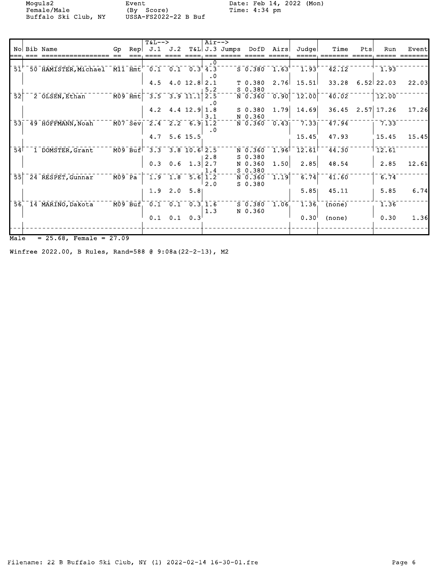Moguls2 Event Date: Feb 14, 2022 (Mon) Buffalo Ski Club, NY

-----<br>(By Score)<br>USSA-FS2022-22 B Buf

|                  |                      |          |                                   | $T&L--&>$ |                                   |                                                                      | $Air--$                                  |                 |                                                                          |           |                                      |                    |     |                    |       |
|------------------|----------------------|----------|-----------------------------------|-----------|-----------------------------------|----------------------------------------------------------------------|------------------------------------------|-----------------|--------------------------------------------------------------------------|-----------|--------------------------------------|--------------------|-----|--------------------|-------|
|                  | No Bib Name          | Gp       | Rep                               | J.1       | J.2                               |                                                                      |                                          | $T&L$ J.3 Jumps |                                                                          | DofD Airs | Judge                                | Time               | Pts | Run                | Event |
|                  |                      |          |                                   |           |                                   |                                                                      |                                          |                 |                                                                          |           |                                      |                    |     |                    |       |
| $\bar{5}\bar{1}$ | 50 HAMISTER, Michael |          | $M11$ Hmt                         |           |                                   | $0.1 \quad 0.1 \quad 0.3$ <sup>'</sup> 4.3 <sup>'</sup>              | $\cdot$ 0                                |                 | $S$ 0.380                                                                | 1.63      | 1.93                                 | $\overline{42.12}$ |     | 1.93               |       |
|                  |                      |          |                                   | 4.5       |                                   | $4.0$ 12.8 2.1                                                       | . 0<br>5.2                               |                 | T <sub>0.380</sub><br>$S$ 0.380                                          |           | $2.76$ 15.51                         | 33.28              |     | $6.52$ 22.03       | 22.03 |
| $\overline{52}$  | 2 OLSEN, Ethan       |          | $\overline{MO9}$ $\overline{HmE}$ |           |                                   | $\overline{3.5}$ $\overline{3.9}$ $\overline{11.1}$ $\overline{2.5}$ | . 0                                      |                 | N 0.360                                                                  |           | $\overline{0.90}$ $\overline{12.00}$ | 140.02             |     | 12.00              |       |
|                  |                      |          |                                   | 4.2       |                                   | $4.4$ 12.9 1.8                                                       | 3.1                                      |                 | $S$ 0.380<br>N 0.360                                                     | 1.79      | 14.69                                |                    |     | $36.45$ 2.57 17.26 | 17.26 |
| $\overline{53}$  | 49 HOFFMANN, Noah    |          | $M07$ Sev                         |           |                                   | $2.4$ $2.2$ $6.9$ 1.2                                                | . 0                                      |                 | $N = 0.360$                                                              | 0.43      | 7.33                                 | $\overline{47.94}$ |     | 7.33               |       |
|                  |                      |          |                                   | 4.7       |                                   | $5.6$ 15.5                                                           |                                          |                 |                                                                          |           | 15.45                                | 47.93              |     | 15.45              | 15.45 |
| $\overline{54}$  | 1 DOMSTER, Grant     |          | M09 Buf                           |           |                                   | $-3.3 - 3.8$ 10.6 2.5                                                | 2.8                                      |                 | $\bar{N}$ $\bar{0}$ $\bar{0}$ $\bar{3}$ $\bar{6}$ $\bar{0}$<br>$S$ 0.380 |           | $\overline{1.96}$ $\overline{12.61}$ | 44.30              |     | 12.61              |       |
|                  |                      |          |                                   |           |                                   | $0.3$ 0.6 1.3 2.7                                                    | 1.4                                      |                 | N 0.360<br>S 0.380                                                       | 1.50      | 2.85                                 | 48.54              |     | 2.85               | 12.61 |
| $\overline{55}$  | 24 RESPET, Gunnar    | $M09$ Pa |                                   |           | $\overline{1.9}$ $\overline{1.8}$ |                                                                      | $\overline{5.6}$ $\overline{1.2}$<br>2.0 |                 | N 0.360<br>$S$ 0.380                                                     | 1.19      | 6.74                                 | 41.60              |     | 6.74               |       |
|                  |                      |          |                                   | 1.9       | 2.0                               | 5.81                                                                 |                                          |                 |                                                                          |           | 5.85                                 | 45.11              |     | 5.85               | 6.74  |
| $\overline{56}$  | 14 MARINO, Dakota    |          | $M09$ Buf                         |           |                                   | $0.1$ $0.1$ $0.3$ 1.6                                                | 1.3                                      |                 | $S = 0.380$<br>N 0.360                                                   | 1.06      | 1.36                                 | (none)             |     | 1.36               |       |
|                  |                      |          |                                   |           | $0.1 \quad 0.1$                   | 0.3                                                                  |                                          |                 |                                                                          |           | 0.30                                 | (none)             |     | 0.30               | 1.36  |
|                  |                      |          |                                   |           |                                   |                                                                      |                                          |                 |                                                                          |           |                                      |                    |     |                    |       |

 $Male = 25.68$ , Female =  $27.09$ 

Winfree 2022.00, B Rules, Rand=588 @ 9:08a(22-2-13), M2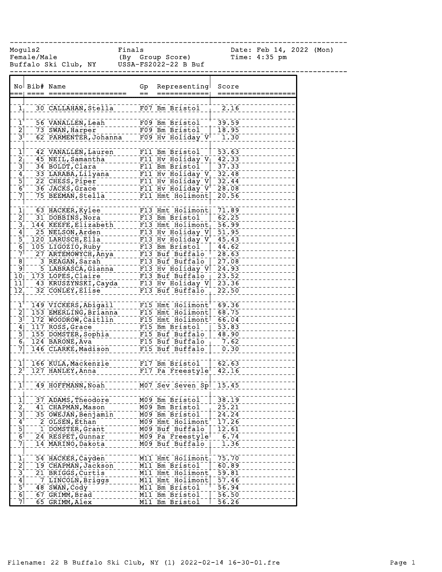|                                                                                                           | Moguls2<br>Female/Male | Buffalo Ski Club, NY  | Finals<br>(By Group Score)<br>USSA-FS2022-22 B Buf                    | Date: Feb 14, 2022 (Mon)<br>Time: 4:35 pm |  |
|-----------------------------------------------------------------------------------------------------------|------------------------|-----------------------|-----------------------------------------------------------------------|-------------------------------------------|--|
|                                                                                                           |                        | No Bib# Name          | Gp<br>Representing<br>$=$                                             | Score<br>==============                   |  |
| $1_{\perp}$                                                                                               |                        | 30 CALLAHAN, Stella   | F07 Bm Bristol                                                        | 2.16                                      |  |
| $\mathbf{1}^{\mathsf{\tau}}$                                                                              |                        | 56 VANALLEN, Leah     | F09 Bm Bristol                                                        | 39.59                                     |  |
|                                                                                                           |                        | 73 SWAN, Harper       |                                                                       | 18.95                                     |  |
| $\frac{1}{3}$                                                                                             |                        | 62 PARMENTER, Johanna | $\overline{F09}$ $\overline{Hv}$ $\overline{Ho}$ liday $\overline{V}$ | 1.30                                      |  |
|                                                                                                           |                        |                       |                                                                       |                                           |  |
| $\overline{1}$                                                                                            |                        | 42 VANALLEN, Lauren   | F11 Bm Bristol                                                        | 53.63                                     |  |
| $\overline{2}$                                                                                            |                        | 45 NEIL, Samantha     | F11 Hv Holiday $V_{\parallel}$                                        | 42.33                                     |  |
|                                                                                                           |                        |                       | $F11$ Bm Bristol                                                      |                                           |  |
| $\frac{3}{6}$<br>$\frac{1}{6}$                                                                            |                        | 34 BOLDT, Clara       |                                                                       | 37.33                                     |  |
|                                                                                                           |                        | 33 LARABA, Lilyana    | $\overline{F11}$ Hv Holiday $\overline{V}_1$                          | 32.48                                     |  |
|                                                                                                           |                        | 22 CHESS, Piper       | F11 Hv Holiday V                                                      | 32.44                                     |  |
|                                                                                                           |                        | 36 JACKS, Grace       | $^-$ F11 Hv Holiday $\rm{V}^+$                                        | 28.08                                     |  |
| $\bar{7}]$                                                                                                |                        | 75 BEEMAN, Stella     | F11 Hmt Holimont                                                      | 20.56                                     |  |
|                                                                                                           |                        |                       |                                                                       |                                           |  |
| $\mathbf{1}$                                                                                              |                        | 63 HACKER, Kylee      | F13 Hmt Holimont                                                      | 71.89                                     |  |
| $\overline{2}$                                                                                            |                        | 31 DOBBINS, Nora      | F13 Bm Bristol                                                        | 62.25                                     |  |
| $\overline{3}$                                                                                            |                        | 144 KEEFE, Elizabeth  | $F13$ Hmt Holimont                                                    | 56.99                                     |  |
| $\mathbf{4}$                                                                                              |                        | 25 NELSON, Arden      | $\overline{F13}$ $\overline{Hv}$ $\overline{H}$ oliday $\overline{V}$ | $\bar{51}$ . 95                           |  |
|                                                                                                           |                        | 120 LARUSCH, Ella     | F13 Hv Holiday V                                                      | 45.43                                     |  |
| $\frac{5}{6}$                                                                                             |                        | 105 LIGOZIO, Ruby     | F13 Bm Bristol                                                        | 44.62                                     |  |
| $\bar{7}^\dagger$                                                                                         |                        | 27 ARTEMOWYCH, Anya   | F13 Buf Buffalo                                                       | 28.63                                     |  |
|                                                                                                           |                        | 3 REAGAN, Sarah       | F13 Buf Buffalo                                                       | 27.08                                     |  |
| $\begin{bmatrix} 8 \\ -9 \end{bmatrix}$                                                                   |                        | 5 LABRASCA, Gianna    | F13 Hv Holiday V                                                      | 24.93                                     |  |
| $\bar{10}$                                                                                                |                        | 173 LOPES, Claire     | $F13$ Buf Buffalo                                                     | 23.52                                     |  |
|                                                                                                           |                        |                       |                                                                       |                                           |  |
| 11                                                                                                        |                        | 43 KRUSZYNSKI,Cayda   | __F13 Hv Holiday V                                                    | 23.36                                     |  |
| $\overline{1}\overline{2}$                                                                                |                        | 32 CONLEY, Elise      | F13 Buf Buffalo                                                       | 22.50                                     |  |
|                                                                                                           |                        |                       |                                                                       |                                           |  |
| $\frac{1}{2}$                                                                                             |                        | 149 VICKERS, Abigail  | F15 Hmt Holimont                                                      | 69.36                                     |  |
|                                                                                                           |                        | 153 EMERLING, Brianna | F15 Hmt Holimont                                                      | 68.75                                     |  |
| $\overline{3}$                                                                                            |                        | 172 WOODROW, Caitlin  | F15 Hmt Holimont                                                      | 66.04                                     |  |
| $\left[4\right]$                                                                                          |                        | 117 ROSS, Grace       | F15 Bm Bristol                                                        | 53.83                                     |  |
| $\overline{5}$                                                                                            |                        | 155 DOMSTER, Sophia   | F15 Buf Buffalo                                                       | 48.90                                     |  |
| 6 <sub>1</sub>                                                                                            |                        | 124 BARONE, Ava       | F15 Buf Buffalo                                                       | 7.62                                      |  |
| $7]^-$                                                                                                    |                        | 146 CLARKE, Madison   | F15 Buf Buffalo                                                       | 0.30                                      |  |
|                                                                                                           |                        |                       |                                                                       |                                           |  |
|                                                                                                           |                        | 1 166 KULA, Mackenzie | $FI7$ Bm Bristol <sup>--</sup> 62.63                                  |                                           |  |
| $2^{\top}$                                                                                                |                        | 127 HANLEY, Anna      | F17 Pa Freestyle                                                      | 42.16                                     |  |
|                                                                                                           |                        |                       |                                                                       |                                           |  |
| $\mathbf{1}$                                                                                              |                        | 49 HOFFMANN, Noah     | M07 Sev Seven Spl                                                     | 15.45                                     |  |
|                                                                                                           |                        |                       |                                                                       |                                           |  |
| $\overline{1}$                                                                                            |                        | 37 ADAMS, Theodore    | M09 Bm Bristol                                                        | 38.19                                     |  |
|                                                                                                           |                        | 41 CHAPMAN, Mason     | M09 Bm Bristol                                                        | 25.21                                     |  |
| $\frac{2}{3}$                                                                                             |                        | 35 OWEJAN, Benjamin   | M09 Bm Bristol                                                        | 24.24                                     |  |
| $\mathbf{4}^{\mathsf{T}}$                                                                                 |                        | 2 OLSEN, Ethan        | M09 Hmt Holimont                                                      |                                           |  |
|                                                                                                           |                        | 1 DOMSTER, Grant      | M09 Buf Buffalo                                                       | 17.26<br>$\overline{12.61}$               |  |
| $\frac{1}{6}$                                                                                             |                        |                       | M09 Pa Freestyle                                                      |                                           |  |
|                                                                                                           |                        | 24 RESPET, Gunnar     |                                                                       | 6.74                                      |  |
| $\bar{7}$                                                                                                 |                        | 14 MARINO, Dakota     | M09 Buf Buffalo                                                       | 1.36                                      |  |
| $\overline{1}$                                                                                            |                        | 54 HACKER, Cayden     | M11 Hmt Holimont                                                      | 75.70                                     |  |
|                                                                                                           |                        | 19 CHAPMAN, Jackson   | M11 Bm Bristol                                                        | 60.89                                     |  |
| $\frac{2}{3}$                                                                                             |                        | 21 BRIGGS, Curtis     | M11 Hmt Holimont                                                      | 59.81                                     |  |
| $\begin{array}{c}\n\overline{\mathbf{4}} \\ \overline{\mathbf{5}} \\ \overline{\phantom{0}}\n\end{array}$ |                        | 7 LINCOLN, Briggs     | M11 Hmt Holimont                                                      | 57.46                                     |  |
|                                                                                                           |                        | 48 SWAN, Cody         | M11 Bm Bristol                                                        | 56.94                                     |  |
| $\overline{6}$                                                                                            |                        | 67 GRIMM, Brad        | M11 Bm Bristol                                                        | 56.50                                     |  |
| 71                                                                                                        |                        | 65 GRIMM, Alex        | M11 Bm Bristol                                                        | 56.26                                     |  |
|                                                                                                           |                        |                       |                                                                       |                                           |  |